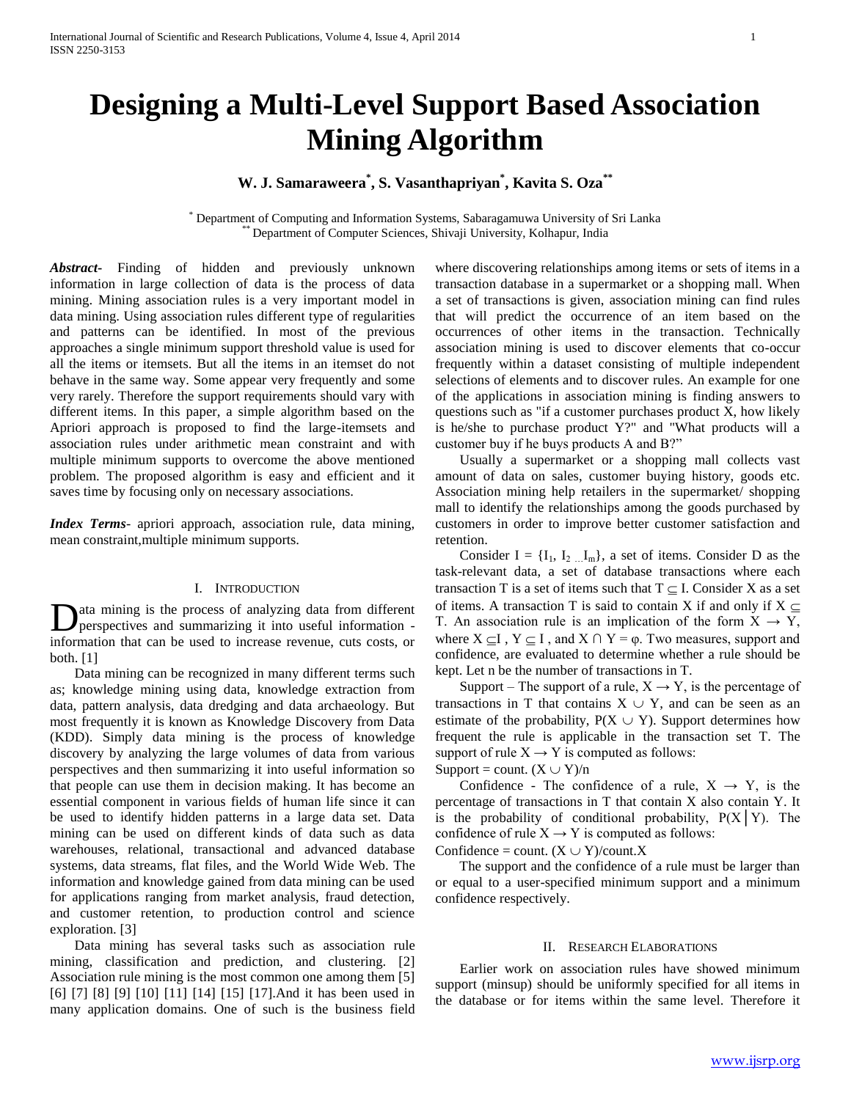# **Designing a Multi-Level Support Based Association Mining Algorithm**

## **W. J. Samaraweera\* , S. Vasanthapriyan\* , Kavita S. Oza\*\***

Department of Computing and Information Systems, Sabaragamuwa University of Sri Lanka Department of Computer Sciences, Shivaji University, Kolhapur, India

*Abstract***-** Finding of hidden and previously unknown information in large collection of data is the process of data mining. Mining association rules is a very important model in data mining. Using association rules different type of regularities and patterns can be identified. In most of the previous approaches a single minimum support threshold value is used for all the items or itemsets. But all the items in an itemset do not behave in the same way. Some appear very frequently and some very rarely. Therefore the support requirements should vary with different items. In this paper, a simple algorithm based on the Apriori approach is proposed to find the large-itemsets and association rules under arithmetic mean constraint and with multiple minimum supports to overcome the above mentioned problem. The proposed algorithm is easy and efficient and it saves time by focusing only on necessary associations.

*Index Terms*- apriori approach, association rule, data mining, mean constraint,multiple minimum supports.

## I. INTRODUCTION

ata mining is the process of analyzing data from different perspectives and summarizing it into useful information - Data mining is the process of analyzing data from different perspectives and summarizing it into useful information -<br>information that can be used to increase revenue, cuts costs, or both. [1]

 Data mining can be recognized in many different terms such as; knowledge mining using data, knowledge extraction from data, pattern analysis, data dredging and data archaeology. But most frequently it is known as Knowledge Discovery from Data (KDD). Simply data mining is the process of knowledge discovery by analyzing the large volumes of data from various perspectives and then summarizing it into useful information so that people can use them in decision making. It has become an essential component in various fields of human life since it can be used to identify hidden patterns in a large data set. Data mining can be used on different kinds of data such as data warehouses, relational, transactional and advanced database systems, data streams, flat files, and the World Wide Web. The information and knowledge gained from data mining can be used for applications ranging from market analysis, fraud detection, and customer retention, to production control and science exploration. [3]

 Data mining has several tasks such as association rule mining, classification and prediction, and clustering. [2] Association rule mining is the most common one among them [5] [6] [7] [8] [9] [10] [11] [14] [15] [17].And it has been used in many application domains. One of such is the business field where discovering relationships among items or sets of items in a transaction database in a supermarket or a shopping mall. When a set of transactions is given, association mining can find rules that will predict the occurrence of an item based on the occurrences of other items in the transaction. Technically association mining is used to discover elements that co-occur frequently within a dataset consisting of multiple independent selections of elements and to discover rules. An example for one of the applications in association mining is finding answers to questions such as "if a customer purchases product X, how likely is he/she to purchase product Y?" and "What products will a customer buy if he buys products A and B?"

 Usually a supermarket or a shopping mall collects vast amount of data on sales, customer buying history, goods etc. Association mining help retailers in the supermarket/ shopping mall to identify the relationships among the goods purchased by customers in order to improve better customer satisfaction and retention.

Consider I =  $\{I_1, I_2, I_m\}$ , a set of items. Consider D as the task-relevant data, a set of database transactions where each transaction T is a set of items such that  $T \subseteq I$ . Consider X as a set of items. A transaction T is said to contain X if and only if  $X \subseteq$ T. An association rule is an implication of the form  $X \rightarrow Y$ , where  $X \subseteq I$ ,  $Y \subseteq I$ , and  $X \cap Y = \varphi$ . Two measures, support and confidence, are evaluated to determine whether a rule should be kept. Let n be the number of transactions in T.

Support – The support of a rule,  $X \rightarrow Y$ , is the percentage of transactions in T that contains  $X \cup Y$ , and can be seen as an estimate of the probability,  $P(X \cup Y)$ . Support determines how frequent the rule is applicable in the transaction set T. The support of rule  $X \rightarrow Y$  is computed as follows:

Support = count.  $(X \cup Y)/n$ 

Confidence - The confidence of a rule,  $X \rightarrow Y$ , is the percentage of transactions in T that contain X also contain Y. It is the probability of conditional probability,  $P(X|Y)$ . The confidence of rule  $X \rightarrow Y$  is computed as follows:

Confidence = count.  $(X \cup Y)/$ count. X

 The support and the confidence of a rule must be larger than or equal to a user-specified minimum support and a minimum confidence respectively.

## II. RESEARCH ELABORATIONS

 Earlier work on association rules have showed minimum support (minsup) should be uniformly specified for all items in the database or for items within the same level. Therefore it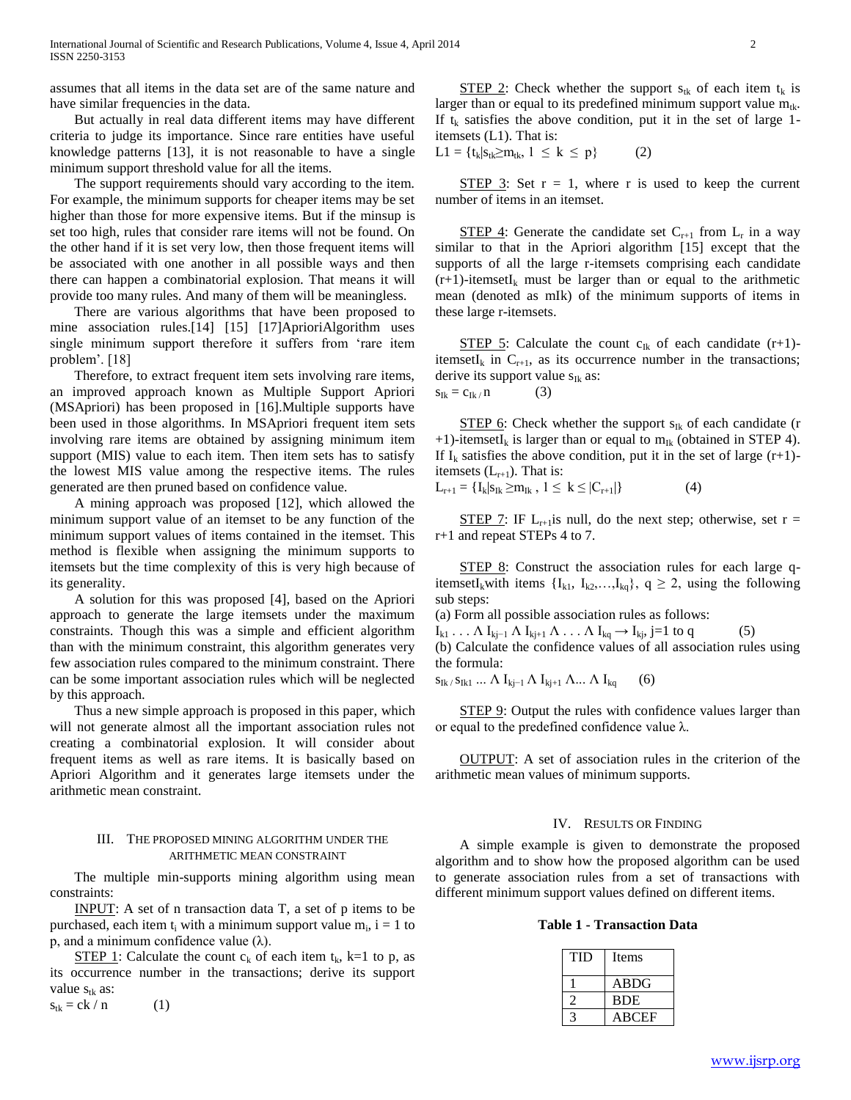assumes that all items in the data set are of the same nature and have similar frequencies in the data.

 But actually in real data different items may have different criteria to judge its importance. Since rare entities have useful knowledge patterns [13], it is not reasonable to have a single minimum support threshold value for all the items.

 The support requirements should vary according to the item. For example, the minimum supports for cheaper items may be set higher than those for more expensive items. But if the minsup is set too high, rules that consider rare items will not be found. On the other hand if it is set very low, then those frequent items will be associated with one another in all possible ways and then there can happen a combinatorial explosion. That means it will provide too many rules. And many of them will be meaningless.

 There are various algorithms that have been proposed to mine association rules.[14] [15] [17]AprioriAlgorithm uses single minimum support therefore it suffers from 'rare item problem'. [18]

 Therefore, to extract frequent item sets involving rare items, an improved approach known as Multiple Support Apriori (MSApriori) has been proposed in [16].Multiple supports have been used in those algorithms. In MSApriori frequent item sets involving rare items are obtained by assigning minimum item support (MIS) value to each item. Then item sets has to satisfy the lowest MIS value among the respective items. The rules generated are then pruned based on confidence value.

 A mining approach was proposed [12], which allowed the minimum support value of an itemset to be any function of the minimum support values of items contained in the itemset. This method is flexible when assigning the minimum supports to itemsets but the time complexity of this is very high because of its generality.

 A solution for this was proposed [4], based on the Apriori approach to generate the large itemsets under the maximum constraints. Though this was a simple and efficient algorithm than with the minimum constraint, this algorithm generates very few association rules compared to the minimum constraint. There can be some important association rules which will be neglected by this approach.

 Thus a new simple approach is proposed in this paper, which will not generate almost all the important association rules not creating a combinatorial explosion. It will consider about frequent items as well as rare items. It is basically based on Apriori Algorithm and it generates large itemsets under the arithmetic mean constraint.

## III. THE PROPOSED MINING ALGORITHM UNDER THE ARITHMETIC MEAN CONSTRAINT

 The multiple min-supports mining algorithm using mean constraints:

 INPUT: A set of n transaction data T, a set of p items to be purchased, each item  $t_i$  with a minimum support value  $m_i$ ,  $i = 1$  to p, and a minimum confidence value (λ).

STEP 1: Calculate the count  $c_k$  of each item  $t_k$ , k=1 to p, as its occurrence number in the transactions; derive its support value  $s_{tk}$  as:  $s_{tk} = ck / n$  (1)

STEP 2: Check whether the support  $s_{tk}$  of each item  $t_k$  is larger than or equal to its predefined minimum support value  $m_{tk}$ . If  $t_k$  satisfies the above condition, put it in the set of large 1itemsets (L1). That is:

 $L1 = \{t_k | s_{tk} \ge m_{tk}, 1 \le k \le p\}$  (2)

STEP 3: Set  $r = 1$ , where r is used to keep the current number of items in an itemset.

STEP 4: Generate the candidate set  $C_{r+1}$  from  $L_r$  in a way similar to that in the Apriori algorithm [15] except that the supports of all the large r-itemsets comprising each candidate  $(r+1)$ -itemsetI<sub>k</sub> must be larger than or equal to the arithmetic mean (denoted as mIk) of the minimum supports of items in these large r-itemsets.

STEP 5: Calculate the count  $c_{Ik}$  of each candidate (r+1)itemsetI<sub>k</sub> in  $C_{r+1}$ , as its occurrence number in the transactions; derive its support value  $s_{Ik}$  as:  $s_{Ik} = c_{Ik / I}$  (3)

STEP 6: Check whether the support  $s_{ik}$  of each candidate (r +1)-itemsetI<sub>k</sub> is larger than or equal to  $m_{Ik}$  (obtained in STEP 4). If  $I_k$  satisfies the above condition, put it in the set of large  $(r+1)$ itemsets  $(L_{r+1})$ . That is:

 $L_{r+1} = \{I_k | s_{Ik} \ge m_{Ik}, 1 \le k \le | C_{r+1} | \}$  (4)

STEP 7: IF  $L_{r+1}$ is null, do the next step; otherwise, set r = r+1 and repeat STEPs 4 to 7.

 STEP 8: Construct the association rules for each large qitemsetI<sub>k</sub>with items  $\{I_{k1}, I_{k2},...,I_{kq}\}, q \geq 2$ , using the following sub steps:

(a) Form all possible association rules as follows:

 $I_{k1} \ldots \Lambda I_{k-j} \Lambda I_{k+j} \Lambda \ldots \Lambda I_{kq} \to I_{k}, j=1 \text{ to } q$  (5)

(b) Calculate the confidence values of all association rules using the formula:

 $s_{Ik}$  /  $s_{Ik1}$  ...  $\Lambda$   $I_{ki-1}$   $\Lambda$   $I_{ki+1}$   $\Lambda$ ...  $\Lambda$   $I_{ka}$  (6)

STEP 9: Output the rules with confidence values larger than or equal to the predefined confidence value λ.

 OUTPUT: A set of association rules in the criterion of the arithmetic mean values of minimum supports.

## IV. RESULTS OR FINDING

 A simple example is given to demonstrate the proposed algorithm and to show how the proposed algorithm can be used to generate association rules from a set of transactions with different minimum support values defined on different items.

**Table 1 - Transaction Data**

| TID | Items        |
|-----|--------------|
|     | <b>ABDG</b>  |
|     | <b>BDE</b>   |
|     | <b>ABCEF</b> |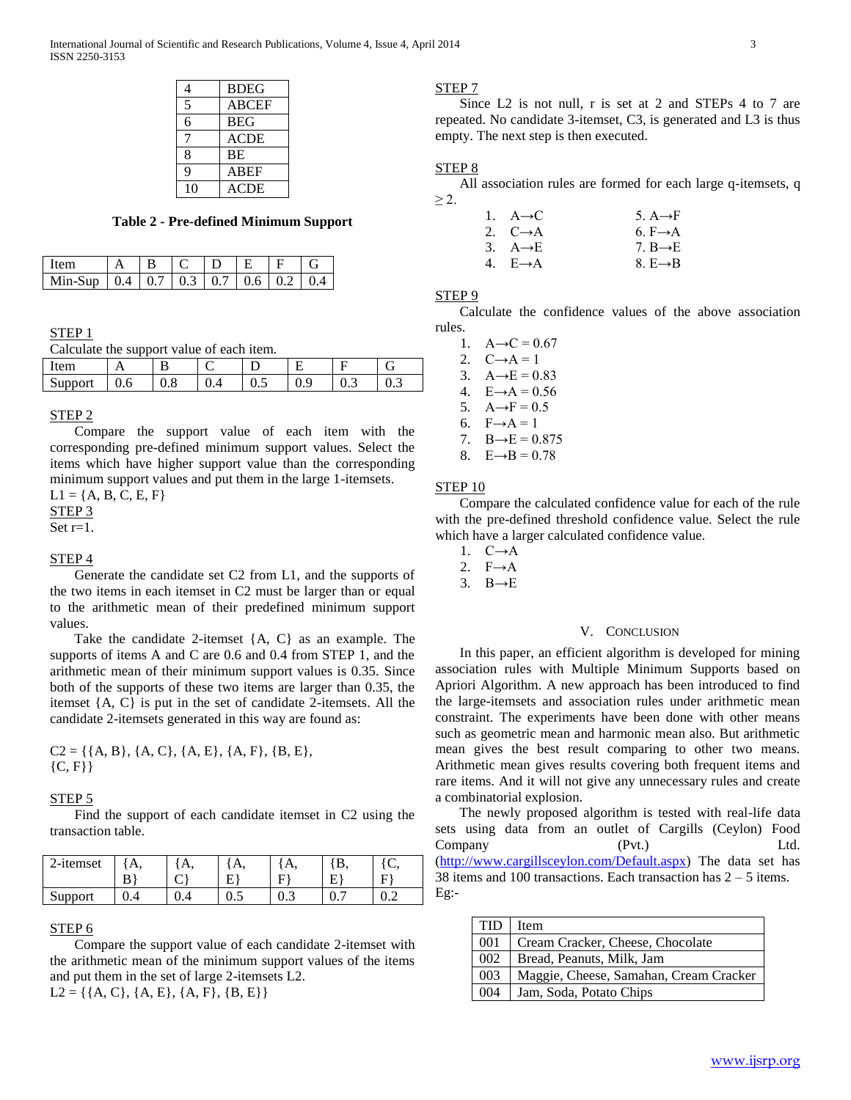| 4           | <b>BDEG</b>  |
|-------------|--------------|
| 5           | <b>ABCEF</b> |
| 6           | <b>BEG</b>   |
|             | ACDE         |
| 8           | BE           |
| $\mathbf Q$ | <b>ABEF</b>  |
| 10          | <b>ACDE</b>  |

## **Table 2 - Pre-defined Minimum Support**

| ltem                                              | $-1B$ | $IC$ ID IE |  |  |
|---------------------------------------------------|-------|------------|--|--|
| Min-Sup   0.4   0.7   0.3   0.7   0.6   0.2   0.4 |       |            |  |  |

## STEP 1

Calculate the support value of each item.

| $\sim$<br>∵∺m⊥ |     |     |     |     |     |     |
|----------------|-----|-----|-----|-----|-----|-----|
| Support        | v.v | v.v | ∪.∪ | ∪., | ◡.◡ | ∪.∪ |

## STEP 2

 Compare the support value of each item with the corresponding pre-defined minimum support values. Select the items which have higher support value than the corresponding minimum support values and put them in the large 1-itemsets.

 $L1 = \{A, B, C, E, F\}$ STEP 3

Set r=1.

## STEP 4

 Generate the candidate set C2 from L1, and the supports of the two items in each itemset in C2 must be larger than or equal to the arithmetic mean of their predefined minimum support values.

 Take the candidate 2-itemset {A, C} as an example. The supports of items A and C are 0.6 and 0.4 from STEP 1, and the arithmetic mean of their minimum support values is 0.35. Since both of the supports of these two items are larger than 0.35, the itemset {A, C} is put in the set of candidate 2-itemsets. All the candidate 2-itemsets generated in this way are found as:

 $C2 = \{\{A, B\}, \{A, C\}, \{A, E\}, \{A, F\}, \{B, E\}, \}$  ${C, F}$ 

#### STEP 5

 Find the support of each candidate itemset in C2 using the transaction table.

| 2-itemset | А, | Α.    | $\overline{1}$ |     |                 |     |
|-----------|----|-------|----------------|-----|-----------------|-----|
|           | B  |       | F              | Е   | E               | F)  |
| Support   |    | $v -$ | $0.5\,$        | ∪.⊃ | $\mathbf{u}$ ., | ∪.∠ |

#### STEP 6

 Compare the support value of each candidate 2-itemset with the arithmetic mean of the minimum support values of the items and put them in the set of large 2-itemsets L2.  $L2 = \{\{A, C\}, \{A, E\}, \{A, F\}, \{B, E\}\}\$ 

#### STEP 7

 Since L2 is not null, r is set at 2 and STEPs 4 to 7 are repeated. No candidate 3-itemset, C3, is generated and L3 is thus empty. The next step is then executed.

## STEP 8

 All association rules are formed for each large q-itemsets, q  $\geq$  2.

| 1. $A \rightarrow C$ | 5. $A \rightarrow F$ |
|----------------------|----------------------|
| 2. $C \rightarrow A$ | 6. $F \rightarrow A$ |
| 3. $A \rightarrow E$ | 7. $B \rightarrow E$ |
| 4. $E \rightarrow A$ | 8. $E \rightarrow B$ |

## STEP 9

 Calculate the confidence values of the above association rules.

1.  $A \rightarrow C = 0.67$ 2.  $C \rightarrow A = 1$ 3.  $A \rightarrow E = 0.83$ 4.  $E \rightarrow A = 0.56$ 5.  $A \rightarrow F = 0.5$ 6.  $F \rightarrow A = 1$ 7.  $B \rightarrow E = 0.875$ 8.  $E \rightarrow B = 0.78$ 

#### STEP 10

 Compare the calculated confidence value for each of the rule with the pre-defined threshold confidence value. Select the rule which have a larger calculated confidence value.

- 1. C→A
- 2.  $F \rightarrow A$
- 3.  $B \rightarrow E$

## V. CONCLUSION

 In this paper, an efficient algorithm is developed for mining association rules with Multiple Minimum Supports based on Apriori Algorithm. A new approach has been introduced to find the large-itemsets and association rules under arithmetic mean constraint. The experiments have been done with other means such as geometric mean and harmonic mean also. But arithmetic mean gives the best result comparing to other two means. Arithmetic mean gives results covering both frequent items and rare items. And it will not give any unnecessary rules and create a combinatorial explosion.

 The newly proposed algorithm is tested with real-life data sets using data from an outlet of Cargills (Ceylon) Food Company (Pvt.) Ltd. [\(http://www.cargillsceylon.com/Default.aspx\)](http://www.cargillsceylon.com/Default.aspx) The data set has 38 items and 100 transactions. Each transaction has 2 – 5 items. Eg:-

| <b>TID</b> | Item                                   |
|------------|----------------------------------------|
| 001        | Cream Cracker, Cheese, Chocolate       |
| 002        | Bread, Peanuts, Milk, Jam              |
| 003        | Maggie, Cheese, Samahan, Cream Cracker |
| 004        | Jam, Soda, Potato Chips                |